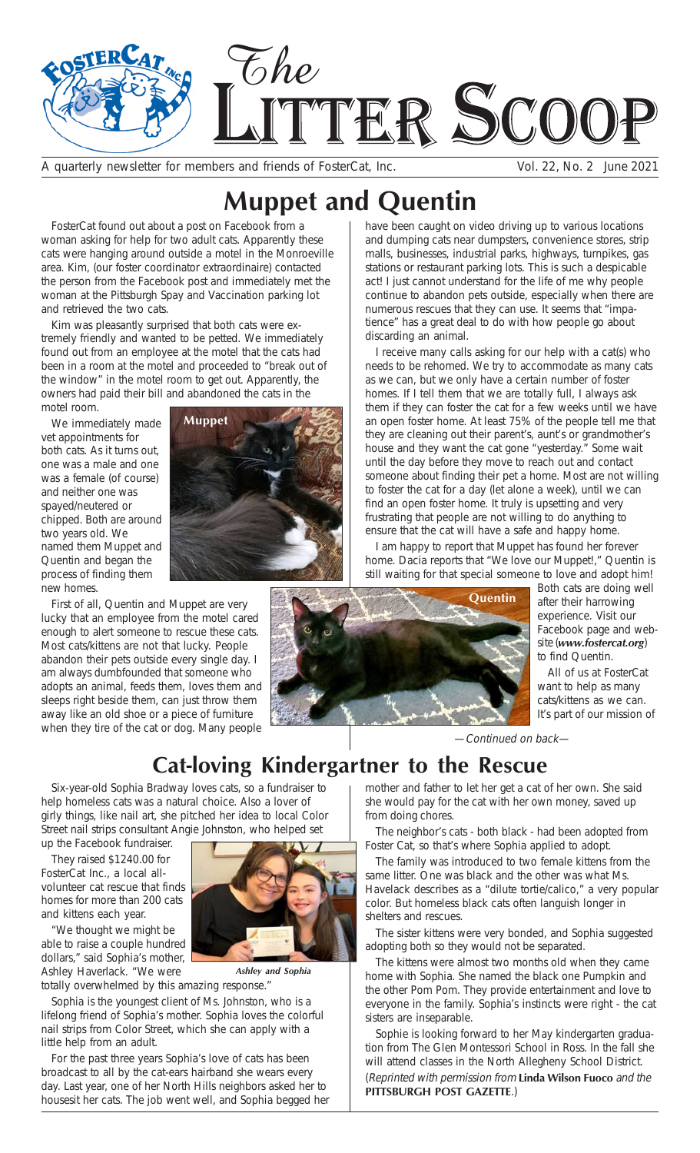

A quarterly newsletter for members and friends of FosterCat, Inc. Vol. 22, No. 2 June 2021

# **Muppet and Quentin**

FosterCat found out about a post on Facebook from a woman asking for help for two adult cats. Apparently these cats were hanging around outside a motel in the Monroeville area. Kim, (our foster coordinator extraordinaire) contacted the person from the Facebook post and immediately met the woman at the Pittsburgh Spay and Vaccination parking lot and retrieved the two cats.

Kim was pleasantly surprised that both cats were extremely friendly and wanted to be petted. We immediately found out from an employee at the motel that the cats had been in a room at the motel and proceeded to "break out of the window" in the motel room to get out. Apparently, the owners had paid their bill and abandoned the cats in the motel room.

We immediately made vet appointments for both cats. As it turns out, one was a male and one was a female (of course) and neither one was spayed/neutered or chipped. Both are around two years old. We named them Muppet and Quentin and began the process of finding them new homes.



First of all, Quentin and Muppet are very lucky that an employee from the motel cared enough to alert someone to rescue these cats. Most cats/kittens are not that lucky. People abandon their pets outside every single day. I am always dumbfounded that someone who adopts an animal, feeds them, loves them and sleeps right beside them, can just throw them away like an old shoe or a piece of furniture when they tire of the cat or dog. Many people



have been caught on video driving up to various locations and dumping cats near dumpsters, convenience stores, strip malls, businesses, industrial parks, highways, turnpikes, gas stations or restaurant parking lots. This is such a despicable act! I just cannot understand for the life of me why people continue to abandon pets outside, especially when there are numerous rescues that they can use. It seems that "impatience" has a great deal to do with how people go about discarding an animal.

I receive many calls asking for our help with a cat(s) who needs to be rehomed. We try to accommodate as many cats as we can, but we only have a certain number of foster homes. If I tell them that we are totally full, I always ask them if they can foster the cat for a few weeks until we have an open foster home. At least 75% of the people tell me that they are cleaning out their parent's, aunt's or grandmother's house and they want the cat gone "yesterday." Some wait until the day before they move to reach out and contact someone about finding their pet a home. Most are not willing to foster the cat for a day (let alone a week), until we can find an open foster home. It truly is upsetting and very frustrating that people are not willing to do anything to ensure that the cat will have a safe and happy home.

I am happy to report that Muppet has found her forever home. Dacia reports that "We love our Muppet!," Quentin is still waiting for that special someone to love and adopt him!



Both cats are doing well after their harrowing experience. Visit our Facebook page and website (*www.fostercat.org*) to find Quentin.

All of us at FosterCat want to help as many cats/kittens as we can. It's part of our mission of

—Continued on back—

## **Cat-loving Kindergartner to the Rescue**

Six-year-old Sophia Bradway loves cats, so a fundraiser to help homeless cats was a natural choice. Also a lover of girly things, like nail art, she pitched her idea to local Color Street nail strips consultant Angie Johnston, who helped set

up the Facebook fundraiser. They raised \$1240.00 for

FosterCat Inc., a local allvolunteer cat rescue that finds homes for more than 200 cats and kittens each year.

"We thought we might be able to raise a couple hundred dollars," said Sophia's mother, Ashley Haverlack. "We were

totally overwhelmed by this amazing response." *Ashley and Sophia*

Sophia is the youngest client of Ms. Johnston, who is a lifelong friend of Sophia's mother. Sophia loves the colorful nail strips from Color Street, which she can apply with a little help from an adult.

For the past three years Sophia's love of cats has been broadcast to all by the cat-ears hairband she wears every day. Last year, one of her North Hills neighbors asked her to housesit her cats. The job went well, and Sophia begged her mother and father to let her get a cat of her own. She said she would pay for the cat with her own money, saved up from doing chores.

The neighbor's cats - both black - had been adopted from Foster Cat, so that's where Sophia applied to adopt.

The family was introduced to two female kittens from the same litter. One was black and the other was what Ms. Havelack describes as a "dilute tortie/calico," a very popular color. But homeless black cats often languish longer in shelters and rescues.

The sister kittens were very bonded, and Sophia suggested adopting both so they would not be separated.

The kittens were almost two months old when they came home with Sophia. She named the black one Pumpkin and the other Pom Pom. They provide entertainment and love to everyone in the family. Sophia's instincts were right - the cat sisters are inseparable.

Sophie is looking forward to her May kindergarten graduation from The Glen Montessori School in Ross. In the fall she will attend classes in the North Allegheny School District. (Reprinted with permission from **Linda Wilson Fuoco** and the **PITTSBURGH POST GAZETTE**.)